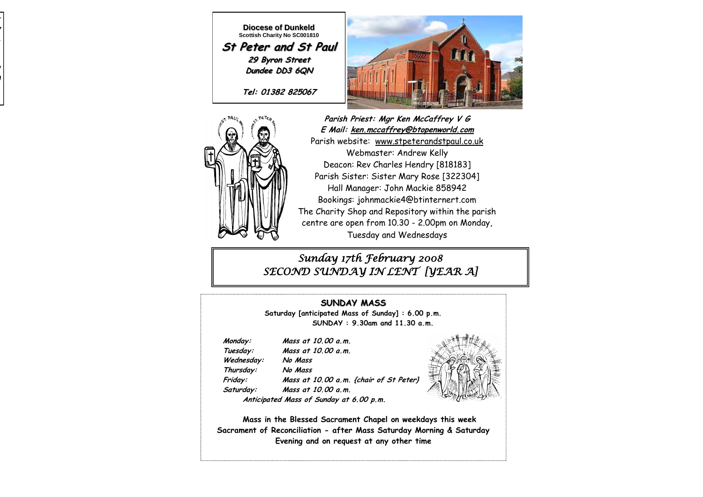

**Diocese of Dunkeld Scottish Charity No SC001810 St Peter and St Paul 29 Byron Street Dundee DD3 6QN**

**Tel: 01382 825067**





**Parish Priest: Mgr Ken McCaffrey V G E Mail: ken.mccaffrey@btopenworld.com** Parish website: www.stpeterandstpaul.co.uk Webmaster: Andrew Kelly Deacon: Rev Charles Hendry [818183] Parish Sister: Sister Mary Rose [322304] Hall Manager: John Mackie 858942 Bookings: johnmackie4@btinternert.com The Charity Shop and Repository within the parish centre are open from 10.30 - 2.00pm on Monday, Tuesday and Wednesdays

### *Sunday 17th February 2008 SECOND SUNDAY IN LENT [YEAR A]*

**SUNDAY MASS Saturday [anticipated Mass of Sunday] : 6.00 p.m. SUNDAY : 9.30am and 11.30 a.m.** 

 **Monday: Mass at 10.00 a.m.** 

 **Tuesday: Mass at 10.00 a.m. Wednesday: No Mass** 

 **Thursday: No Mass** 

 **Friday: Mass at 10.00 a.m. {chair of St Peter} Saturday: Mass at 10.00 a.m.** 

 **Anticipated Mass of Sunday at 6.00 p.m.** 



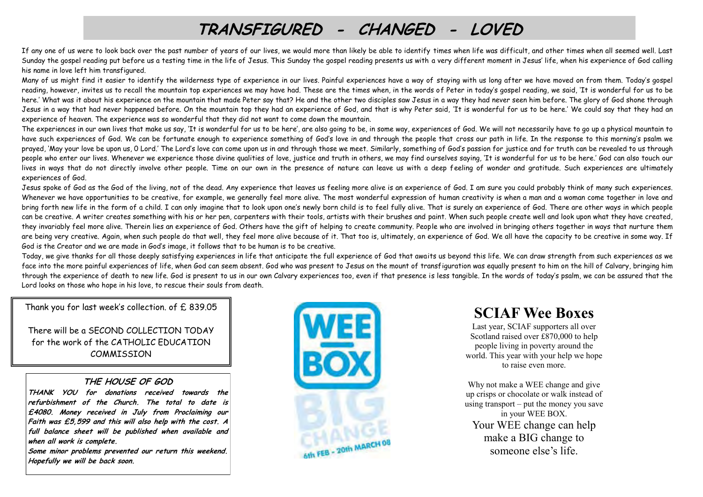# **TRANSFIGURED - CHANGED - LOVED**

If any one of us were to look back over the past number of years of our lives, we would more than likely be able to identify times when life was difficult, and other times when all seemed well. Last Sunday the gospel reading put before us a testing time in the life of Jesus. This Sunday the gospel reading presents us with a very different moment in Jesus' life, when his experience of God calling his name in love left him transfigured.

Many of us might find it easier to identify the wilderness type of experience in our lives. Painful experiences have a way of staying with us long after we have moved on from them. Today's gospel reading, however, invites us to recall the mountain top experiences we may have had. These are the times when, in the words of Peter in today's gospel reading, we said, 'It is wonderful for us to be here.' What was it about his experience on the mountain that made Peter say that? He and the other two disciples saw Jesus in a way they had never seen him before. The glory of God shone through Jesus in a way that had never happened before. On the mountain top they had an experience of God, and that is why Peter said, 'It is wonderful for us to be here.' We could say that they had an experience of heaven. The experience was so wonderful that they did not want to come down the mountain.

The experiences in our own lives that make us say, 'It is wonderful for us to be here', are also going to be, in some way, experiences of God. We will not necessarily have to go up a physical mountain to have such experiences of God. We can be fortunate enough to experience something of God's love in and through the people that cross our path in life. In the response to this morning's psalm we prayed, 'May your love be upon us, O Lord.' The Lord's love can come upon us in and through those we meet. Similarly, something of God's passion for justice and for truth can be revealed to us through people who enter our lives. Whenever we experience those divine qualities of love, justice and truth in others, we may find ourselves saying, 'It is wonderful for us to be here.' God can also touch our lives in ways that do not directly involve other people. Time on our own in the presence of nature can leave us with a deep feeling of wonder and gratitude. Such experiences are ultimately experiences of God.

Jesus spoke of God as the God of the living, not of the dead. Any experience that leaves us feeling more alive is an experience of God. I am sure you could probably think of many such experiences. Whenever we have opportunities to be creative, for example, we generally feel more alive. The most wonderful expression of human creativity is when a man and a woman come together in love and bring forth new life in the form of a child. I can only imagine that to look upon one's newly born child is to feel fully alive. That is surely an experience of God. There are other ways in which people can be creative. A writer creates something with his or her pen, carpenters with their tools, artists with their brushes and paint. When such people create well and look upon what they have created, they invariably feel more alive. Therein lies an experience of God. Others have the gift of helping to create community. People who are involved in bringing others together in ways that nurture them are being very creative. Again, when such people do that well, they feel more alive because of it. That too is, ultimately, an experience of God. We all have the capacity to be creative in some way. If God is the Creator and we are made in God's image, it follows that to be human is to be creative.

Today, we give thanks for all those deeply satisfying experiences in life that anticipate the full experience of God that awaits us beyond this life. We can draw strength from such experiences as we face into the more painful experiences of life, when God can seem absent. God who was present to Jesus on the mount of transfiguration was equally present to him on the hill of Calvary, bringing him through the experience of death to new life. God is present to us in our own Calvary experiences too, even if that presence is less tangible. In the words of today's psalm, we can be assured that the Lord looks on those who hope in his love, to rescue their souls from death.

Thank you for last week's collection. of £ 839.05

There will be a SECOND COLLECTION TODAY for the work of the CATHOLIC EDUCATION COMMISSION

#### **THE HOUSE OF GOD**

**THANK YOU for donations received towards the refurbishment of the Church. The total to date is £4080. Money received in July from Proclaiming our Faith was £5,599 and this will also help with the cost. A full balance sheet will be published when available and when all work is complete.** 

**Some minor problems prevented our return this weekend. Hopefully we will be back soon.** 



## **SCIAF Wee Boxes**

Last year, SCIAF supporters all over Scotland raised over £870,000 to help people living in poverty around the world. This year with your help we hope to raise even more.

Why not make a WEE change and give up crisps or chocolate or walk instead of using transport – put the money you save in your WEE BOX. Your WEE change can help make a BIG change to someone else's life.